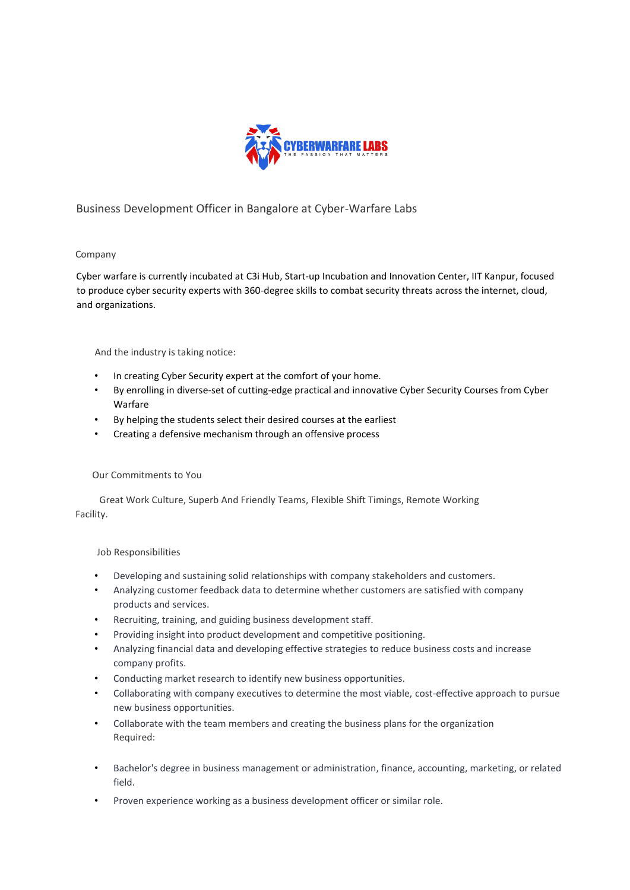

# Business Development Officer in Bangalore at Cyber-Warfare Labs

## Company

Cyber warfare is currently incubated a[t](https://www.linkedin.com/company/c3i-hub/) [C3i Hub,](https://www.linkedin.com/company/c3i-hub/) Start-up Incubation and Innovation Center, IIT Kanpur, focused to produce cyber security experts with 360-degree skills to combat security threats across the internet, cloud, and organizations.

## And the industry is taking notice:

- In creating Cyber Security expert at the comfort of your home.
- By enrolling in diverse-set of cutting-edge practical and innovative Cyber Security Courses from Cyber Warfare
- By helping the students select their desired courses at the earliest
- Creating a defensive mechanism through an offensive process

## Our Commitments to You

 Great Work Culture, Superb And Friendly Teams, Flexible Shift Timings, Remote Working Facility.

## Job Responsibilities

- Developing and sustaining solid relationships with company stakeholders and customers.
- Analyzing customer feedback data to determine whether customers are satisfied with company products and services.
- Recruiting, training, and guiding business development staff.
- Providing insight into product development and competitive positioning.
- Analyzing financial data and developing effective strategies to reduce business costs and increase company profits.
- Conducting market research to identify new business opportunities.
- Collaborating with company executives to determine the most viable, cost-effective approach to pursue new business opportunities.
- Collaborate with the team members and creating the business plans for the organization Required:
- Bachelor's degree in business management or administration, finance, accounting, marketing, or related field.
- Proven experience working as a business development officer or similar role.